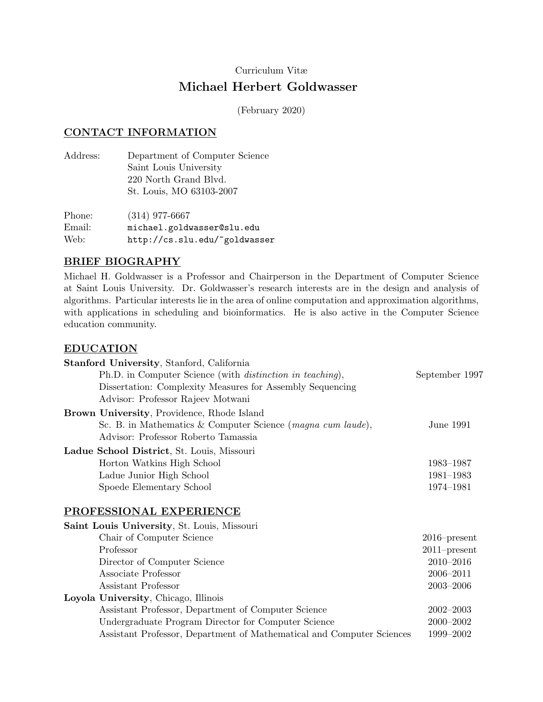# Curriculum Vitæ Michael Herbert Goldwasser

(February 2020)

#### CONTACT INFORMATION

Address: Department of Computer Science Saint Louis University 220 North Grand Blvd. St. Louis, MO 63103-2007

Phone: (314) 977-6667 Email: michael.goldwasser@slu.edu Web: http://cs.slu.edu/~goldwasser

### BRIEF BIOGRAPHY

Michael H. Goldwasser is a Professor and Chairperson in the Department of Computer Science at Saint Louis University. Dr. Goldwasser's research interests are in the design and analysis of algorithms. Particular interests lie in the area of online computation and approximation algorithms, with applications in scheduling and bioinformatics. He is also active in the Computer Science education community.

#### EDUCATION

| Stanford University, Stanford, California                             |                 |
|-----------------------------------------------------------------------|-----------------|
| Ph.D. in Computer Science (with <i>distinction in teaching</i> ),     | September 1997  |
| Dissertation: Complexity Measures for Assembly Sequencing             |                 |
| Advisor: Professor Rajeev Motwani                                     |                 |
| <b>Brown University, Providence, Rhode Island</b>                     |                 |
| Sc. B. in Mathematics & Computer Science (magna cum laude),           | June 1991       |
| Advisor: Professor Roberto Tamassia                                   |                 |
| Ladue School District, St. Louis, Missouri                            |                 |
| Horton Watkins High School                                            | 1983-1987       |
| Ladue Junior High School                                              | 1981-1983       |
| Spoede Elementary School                                              | 1974-1981       |
| PROFESSIONAL EXPERIENCE                                               |                 |
| Saint Louis University, St. Louis, Missouri                           |                 |
| Chair of Computer Science                                             | $2016$ -present |
| Professor                                                             | $2011$ -present |
| Director of Computer Science                                          | $2010 - 2016$   |
| Associate Professor                                                   | 2006-2011       |
| Assistant Professor                                                   | $2003 - 2006$   |
| Loyola University, Chicago, Illinois                                  |                 |
| Assistant Professor, Department of Computer Science                   | $2002 - 2003$   |
| Undergraduate Program Director for Computer Science                   | $2000 - 2002$   |
| Assistant Professor, Department of Mathematical and Computer Sciences | 1999-2002       |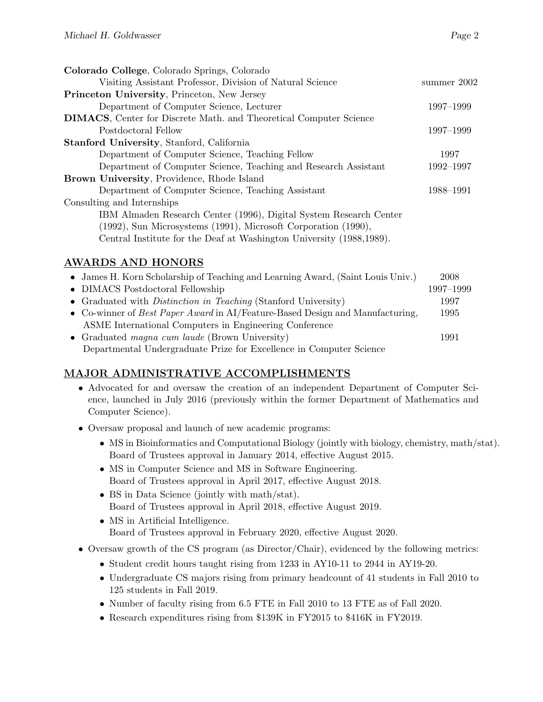| Colorado College, Colorado Springs, Colorado                                                                                                                                                                  |             |
|---------------------------------------------------------------------------------------------------------------------------------------------------------------------------------------------------------------|-------------|
| Visiting Assistant Professor, Division of Natural Science                                                                                                                                                     | summer 2002 |
| <b>Princeton University, Princeton, New Jersey</b>                                                                                                                                                            |             |
| Department of Computer Science, Lecturer                                                                                                                                                                      | 1997-1999   |
| <b>DIMACS</b> , Center for Discrete Math. and Theoretical Computer Science                                                                                                                                    |             |
| Postdoctoral Fellow                                                                                                                                                                                           | 1997-1999   |
| <b>Stanford University, Stanford, California</b>                                                                                                                                                              |             |
| Department of Computer Science, Teaching Fellow                                                                                                                                                               | 1997        |
| Department of Computer Science, Teaching and Research Assistant                                                                                                                                               | 1992–1997   |
| Brown University, Providence, Rhode Island                                                                                                                                                                    |             |
| Department of Computer Science, Teaching Assistant                                                                                                                                                            | 1988-1991   |
| Consulting and Internships                                                                                                                                                                                    |             |
| IBM Almaden Research Center (1996), Digital System Research Center<br>(1992), Sun Microsystems (1991), Microsoft Corporation (1990),<br>Central Institute for the Deaf at Washington University (1988, 1989). |             |
|                                                                                                                                                                                                               |             |

## AWARDS AND HONORS

| • James H. Korn Scholarship of Teaching and Learning Award, (Saint Louis Univ.) | 2008      |
|---------------------------------------------------------------------------------|-----------|
| • DIMACS Postdoctoral Fellowship                                                | 1997-1999 |
| • Graduated with <i>Distinction in Teaching</i> (Stanford University)           | 1997      |
| • Co-winner of Best Paper Award in AI/Feature-Based Design and Manufacturing,   | 1995      |
| ASME International Computers in Engineering Conference                          |           |
| • Graduated <i>magna cum laude</i> (Brown University)                           | 1991      |
| Departmental Undergraduate Prize for Excellence in Computer Science             |           |

## MAJOR ADMINISTRATIVE ACCOMPLISHMENTS

- Advocated for and oversaw the creation of an independent Department of Computer Science, launched in July 2016 (previously within the former Department of Mathematics and Computer Science).
- Oversaw proposal and launch of new academic programs:
	- MS in Bioinformatics and Computational Biology (jointly with biology, chemistry, math/stat). Board of Trustees approval in January 2014, effective August 2015.
	- MS in Computer Science and MS in Software Engineering. Board of Trustees approval in April 2017, effective August 2018.
	- BS in Data Science (jointly with math/stat). Board of Trustees approval in April 2018, effective August 2019.
	- MS in Artificial Intelligence. Board of Trustees approval in February 2020, effective August 2020.
- Oversaw growth of the CS program (as Director/Chair), evidenced by the following metrics:
	- Student credit hours taught rising from 1233 in AY10-11 to 2944 in AY19-20.
	- Undergraduate CS majors rising from primary headcount of 41 students in Fall 2010 to 125 students in Fall 2019.
	- Number of faculty rising from 6.5 FTE in Fall 2010 to 13 FTE as of Fall 2020.
	- Research expenditures rising from \$139K in FY2015 to \$416K in FY2019.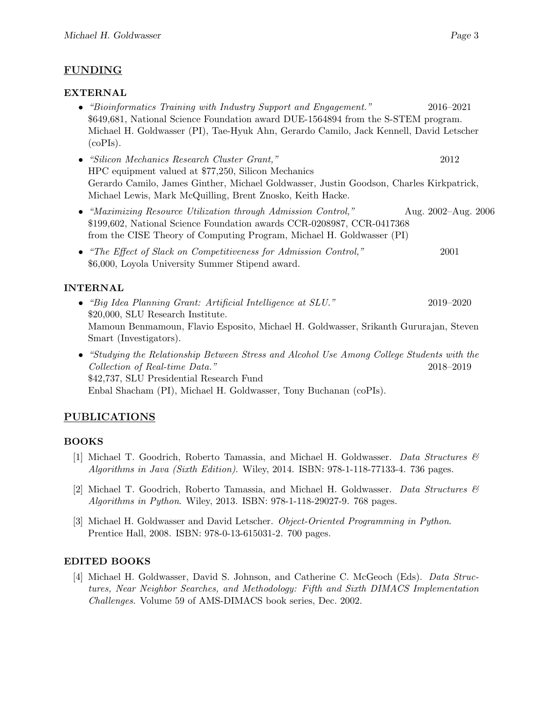### FUNDING

#### EXTERNAL

- "Bioinformatics Training with Industry Support and Engagement." 2016–2021 \$649,681, National Science Foundation award DUE-1564894 from the S-STEM program. Michael H. Goldwasser (PI), Tae-Hyuk Ahn, Gerardo Camilo, Jack Kennell, David Letscher (coPIs).
- "Silicon Mechanics Research Cluster Grant," 2012 HPC equipment valued at \$77,250, Silicon Mechanics Gerardo Camilo, James Ginther, Michael Goldwasser, Justin Goodson, Charles Kirkpatrick, Michael Lewis, Mark McQuilling, Brent Znosko, Keith Hacke.
- "Maximizing Resource Utilization through Admission Control," Aug. 2002–Aug. 2006 \$199,602, National Science Foundation awards CCR-0208987, CCR-0417368 from the CISE Theory of Computing Program, Michael H. Goldwasser (PI)
- "The Effect of Slack on Competitiveness for Admission Control," 2001 \$6,000, Loyola University Summer Stipend award.

### INTERNAL

- "Big Idea Planning Grant: Artificial Intelligence at SLU." 2019–2020 \$20,000, SLU Research Institute. Mamoun Benmamoun, Flavio Esposito, Michael H. Goldwasser, Srikanth Gururajan, Steven Smart (Investigators).
- "Studying the Relationship Between Stress and Alcohol Use Among College Students with the Collection of Real-time Data." 2018–2019 \$42,737, SLU Presidential Research Fund Enbal Shacham (PI), Michael H. Goldwasser, Tony Buchanan (coPIs).

## PUBLICATIONS

### BOOKS

- [1] Michael T. Goodrich, Roberto Tamassia, and Michael H. Goldwasser. Data Structures & Algorithms in Java (Sixth Edition). Wiley, 2014. ISBN: 978-1-118-77133-4. 736 pages.
- [2] Michael T. Goodrich, Roberto Tamassia, and Michael H. Goldwasser. Data Structures  $\mathcal{C}$ Algorithms in Python. Wiley, 2013. ISBN: 978-1-118-29027-9. 768 pages.
- [3] Michael H. Goldwasser and David Letscher. Object-Oriented Programming in Python. Prentice Hall, 2008. ISBN: 978-0-13-615031-2. 700 pages.

### EDITED BOOKS

[4] Michael H. Goldwasser, David S. Johnson, and Catherine C. McGeoch (Eds). Data Structures, Near Neighbor Searches, and Methodology: Fifth and Sixth DIMACS Implementation Challenges. Volume 59 of AMS-DIMACS book series, Dec. 2002.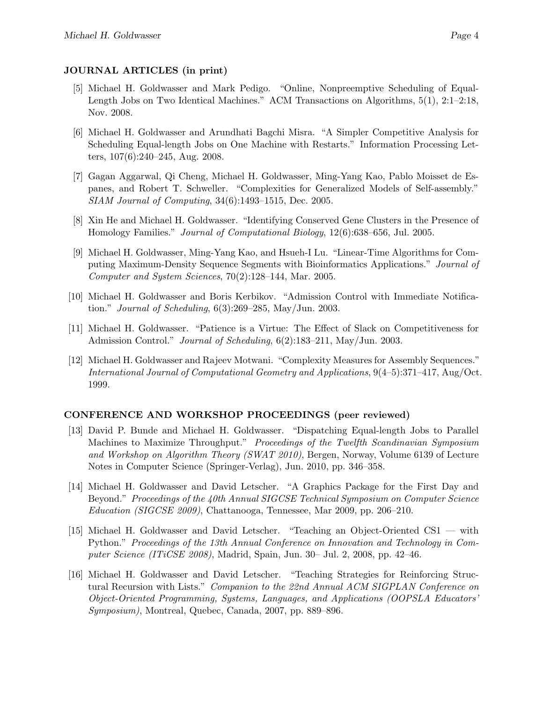#### JOURNAL ARTICLES (in print)

- [5] Michael H. Goldwasser and Mark Pedigo. "Online, Nonpreemptive Scheduling of Equal-Length Jobs on Two Identical Machines." ACM Transactions on Algorithms, 5(1), 2:1–2:18, Nov. 2008.
- [6] Michael H. Goldwasser and Arundhati Bagchi Misra. "A Simpler Competitive Analysis for Scheduling Equal-length Jobs on One Machine with Restarts." Information Processing Letters, 107(6):240–245, Aug. 2008.
- [7] Gagan Aggarwal, Qi Cheng, Michael H. Goldwasser, Ming-Yang Kao, Pablo Moisset de Espanes, and Robert T. Schweller. "Complexities for Generalized Models of Self-assembly." SIAM Journal of Computing, 34(6):1493–1515, Dec. 2005.
- [8] Xin He and Michael H. Goldwasser. "Identifying Conserved Gene Clusters in the Presence of Homology Families." Journal of Computational Biology, 12(6):638–656, Jul. 2005.
- [9] Michael H. Goldwasser, Ming-Yang Kao, and Hsueh-I Lu. "Linear-Time Algorithms for Computing Maximum-Density Sequence Segments with Bioinformatics Applications." Journal of Computer and System Sciences, 70(2):128–144, Mar. 2005.
- [10] Michael H. Goldwasser and Boris Kerbikov. "Admission Control with Immediate Notification." Journal of Scheduling, 6(3):269–285, May/Jun. 2003.
- [11] Michael H. Goldwasser. "Patience is a Virtue: The Effect of Slack on Competitiveness for Admission Control." Journal of Scheduling, 6(2):183–211, May/Jun. 2003.
- [12] Michael H. Goldwasser and Rajeev Motwani. "Complexity Measures for Assembly Sequences." International Journal of Computational Geometry and Applications, 9(4–5):371–417, Aug/Oct. 1999.

#### CONFERENCE AND WORKSHOP PROCEEDINGS (peer reviewed)

- [13] David P. Bunde and Michael H. Goldwasser. "Dispatching Equal-length Jobs to Parallel Machines to Maximize Throughput." Proceedings of the Twelfth Scandinavian Symposium and Workshop on Algorithm Theory (SWAT 2010), Bergen, Norway, Volume 6139 of Lecture Notes in Computer Science (Springer-Verlag), Jun. 2010, pp. 346–358.
- [14] Michael H. Goldwasser and David Letscher. "A Graphics Package for the First Day and Beyond." Proceedings of the 40th Annual SIGCSE Technical Symposium on Computer Science Education (SIGCSE 2009), Chattanooga, Tennessee, Mar 2009, pp. 206–210.
- [15] Michael H. Goldwasser and David Letscher. "Teaching an Object-Oriented CS1 with Python." Proceedings of the 13th Annual Conference on Innovation and Technology in Computer Science (ITiCSE 2008), Madrid, Spain, Jun. 30– Jul. 2, 2008, pp. 42–46.
- [16] Michael H. Goldwasser and David Letscher. "Teaching Strategies for Reinforcing Structural Recursion with Lists." Companion to the 22nd Annual ACM SIGPLAN Conference on Object-Oriented Programming, Systems, Languages, and Applications (OOPSLA Educators' Symposium), Montreal, Quebec, Canada, 2007, pp. 889–896.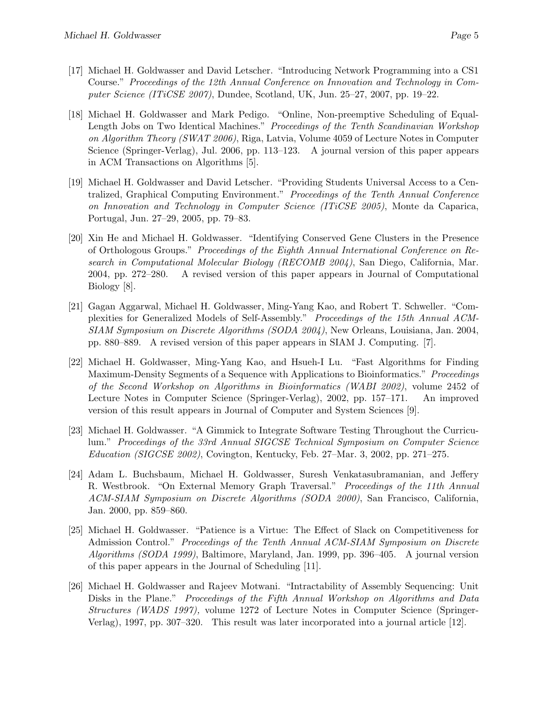- [17] Michael H. Goldwasser and David Letscher. "Introducing Network Programming into a CS1 Course." Proceedings of the 12th Annual Conference on Innovation and Technology in Computer Science (ITiCSE 2007), Dundee, Scotland, UK, Jun. 25–27, 2007, pp. 19–22.
- [18] Michael H. Goldwasser and Mark Pedigo. "Online, Non-preemptive Scheduling of Equal-Length Jobs on Two Identical Machines." Proceedings of the Tenth Scandinavian Workshop on Algorithm Theory (SWAT 2006), Riga, Latvia, Volume 4059 of Lecture Notes in Computer Science (Springer-Verlag), Jul. 2006, pp. 113–123. A journal version of this paper appears in ACM Transactions on Algorithms [5].
- [19] Michael H. Goldwasser and David Letscher. "Providing Students Universal Access to a Centralized, Graphical Computing Environment." Proceedings of the Tenth Annual Conference on Innovation and Technology in Computer Science (ITiCSE 2005), Monte da Caparica, Portugal, Jun. 27–29, 2005, pp. 79–83.
- [20] Xin He and Michael H. Goldwasser. "Identifying Conserved Gene Clusters in the Presence of Orthologous Groups." Proceedings of the Eighth Annual International Conference on Research in Computational Molecular Biology (RECOMB 2004), San Diego, California, Mar. 2004, pp. 272–280. A revised version of this paper appears in Journal of Computational Biology [8].
- [21] Gagan Aggarwal, Michael H. Goldwasser, Ming-Yang Kao, and Robert T. Schweller. "Complexities for Generalized Models of Self-Assembly." Proceedings of the 15th Annual ACM-SIAM Symposium on Discrete Algorithms (SODA 2004), New Orleans, Louisiana, Jan. 2004, pp. 880–889. A revised version of this paper appears in SIAM J. Computing. [7].
- [22] Michael H. Goldwasser, Ming-Yang Kao, and Hsueh-I Lu. "Fast Algorithms for Finding Maximum-Density Segments of a Sequence with Applications to Bioinformatics." Proceedings of the Second Workshop on Algorithms in Bioinformatics (WABI 2002), volume 2452 of Lecture Notes in Computer Science (Springer-Verlag), 2002, pp. 157–171. An improved version of this result appears in Journal of Computer and System Sciences [9].
- [23] Michael H. Goldwasser. "A Gimmick to Integrate Software Testing Throughout the Curriculum." Proceedings of the 33rd Annual SIGCSE Technical Symposium on Computer Science  $Education$  (SIGCSE 2002), Covington, Kentucky, Feb. 27–Mar. 3, 2002, pp. 271–275.
- [24] Adam L. Buchsbaum, Michael H. Goldwasser, Suresh Venkatasubramanian, and Jeffery R. Westbrook. "On External Memory Graph Traversal." Proceedings of the 11th Annual ACM-SIAM Symposium on Discrete Algorithms (SODA 2000), San Francisco, California, Jan. 2000, pp. 859–860.
- [25] Michael H. Goldwasser. "Patience is a Virtue: The Effect of Slack on Competitiveness for Admission Control." *Proceedings of the Tenth Annual ACM-SIAM Symposium on Discrete* Algorithms (SODA 1999), Baltimore, Maryland, Jan. 1999, pp. 396–405. A journal version of this paper appears in the Journal of Scheduling [11].
- [26] Michael H. Goldwasser and Rajeev Motwani. "Intractability of Assembly Sequencing: Unit Disks in the Plane." Proceedings of the Fifth Annual Workshop on Algorithms and Data Structures (WADS 1997), volume 1272 of Lecture Notes in Computer Science (Springer-Verlag), 1997, pp. 307–320. This result was later incorporated into a journal article [12].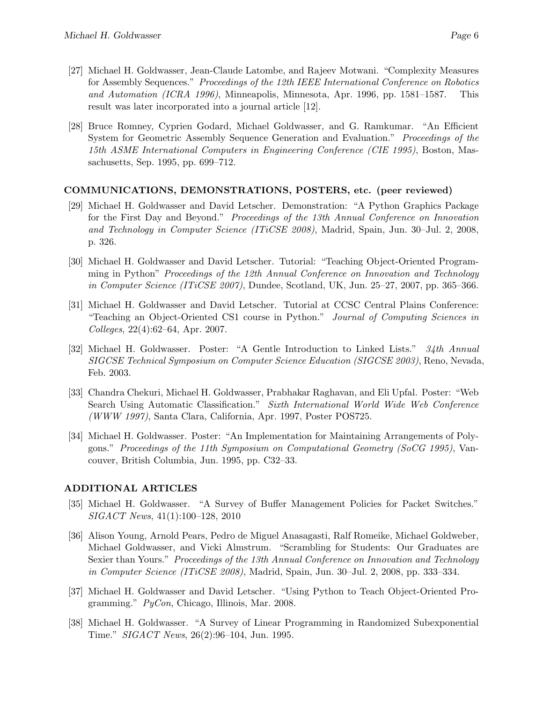- [27] Michael H. Goldwasser, Jean-Claude Latombe, and Rajeev Motwani. "Complexity Measures for Assembly Sequences." Proceedings of the 12th IEEE International Conference on Robotics and Automation (ICRA 1996), Minneapolis, Minnesota, Apr. 1996, pp. 1581–1587. This result was later incorporated into a journal article [12].
- [28] Bruce Romney, Cyprien Godard, Michael Goldwasser, and G. Ramkumar. "An Efficient System for Geometric Assembly Sequence Generation and Evaluation." Proceedings of the 15th ASME International Computers in Engineering Conference (CIE 1995), Boston, Massachusetts, Sep. 1995, pp. 699–712.

#### COMMUNICATIONS, DEMONSTRATIONS, POSTERS, etc. (peer reviewed)

- [29] Michael H. Goldwasser and David Letscher. Demonstration: "A Python Graphics Package for the First Day and Beyond." Proceedings of the 13th Annual Conference on Innovation and Technology in Computer Science (ITiCSE 2008), Madrid, Spain, Jun. 30–Jul. 2, 2008, p. 326.
- [30] Michael H. Goldwasser and David Letscher. Tutorial: "Teaching Object-Oriented Programming in Python" Proceedings of the 12th Annual Conference on Innovation and Technology in Computer Science (ITiCSE 2007), Dundee, Scotland, UK, Jun. 25–27, 2007, pp. 365–366.
- [31] Michael H. Goldwasser and David Letscher. Tutorial at CCSC Central Plains Conference: "Teaching an Object-Oriented CS1 course in Python." Journal of Computing Sciences in Colleges, 22(4):62–64, Apr. 2007.
- [32] Michael H. Goldwasser. Poster: "A Gentle Introduction to Linked Lists." 34th Annual SIGCSE Technical Symposium on Computer Science Education (SIGCSE 2003), Reno, Nevada, Feb. 2003.
- [33] Chandra Chekuri, Michael H. Goldwasser, Prabhakar Raghavan, and Eli Upfal. Poster: "Web Search Using Automatic Classification." Sixth International World Wide Web Conference (WWW 1997), Santa Clara, California, Apr. 1997, Poster POS725.
- [34] Michael H. Goldwasser. Poster: "An Implementation for Maintaining Arrangements of Polygons." Proceedings of the 11th Symposium on Computational Geometry (SoCG 1995), Vancouver, British Columbia, Jun. 1995, pp. C32–33.

#### ADDITIONAL ARTICLES

- [35] Michael H. Goldwasser. "A Survey of Buffer Management Policies for Packet Switches." SIGACT News, 41(1):100–128, 2010
- [36] Alison Young, Arnold Pears, Pedro de Miguel Anasagasti, Ralf Romeike, Michael Goldweber, Michael Goldwasser, and Vicki Almstrum. "Scrambling for Students: Our Graduates are Sexier than Yours." Proceedings of the 13th Annual Conference on Innovation and Technology in Computer Science (ITiCSE 2008), Madrid, Spain, Jun. 30–Jul. 2, 2008, pp. 333–334.
- [37] Michael H. Goldwasser and David Letscher. "Using Python to Teach Object-Oriented Programming." PyCon, Chicago, Illinois, Mar. 2008.
- [38] Michael H. Goldwasser. "A Survey of Linear Programming in Randomized Subexponential Time." SIGACT News, 26(2):96–104, Jun. 1995.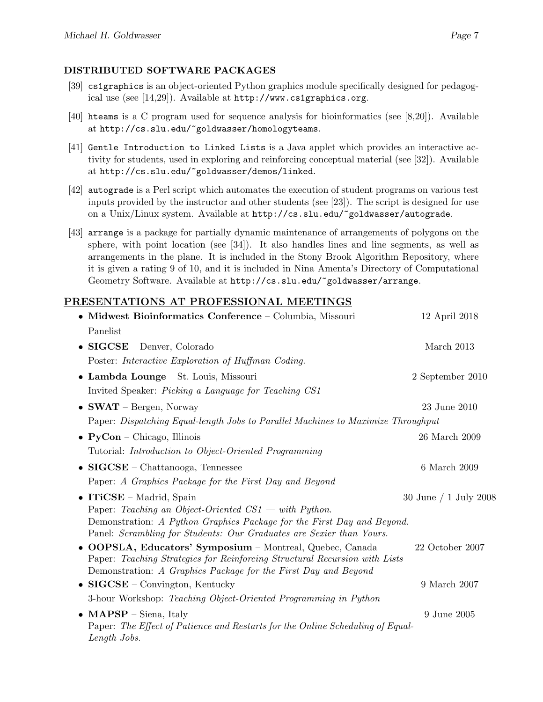#### DISTRIBUTED SOFTWARE PACKAGES

- [39] cs1graphics is an object-oriented Python graphics module specifically designed for pedagogical use (see [14,29]). Available at http://www.cs1graphics.org.
- [40] hteams is a C program used for sequence analysis for bioinformatics (see [8,20]). Available at http://cs.slu.edu/~goldwasser/homologyteams.
- [41] Gentle Introduction to Linked Lists is a Java applet which provides an interactive activity for students, used in exploring and reinforcing conceptual material (see [32]). Available at http://cs.slu.edu/~goldwasser/demos/linked.
- [42] autograde is a Perl script which automates the execution of student programs on various test inputs provided by the instructor and other students (see [23]). The script is designed for use on a Unix/Linux system. Available at http://cs.slu.edu/~goldwasser/autograde.
- [43] arrange is a package for partially dynamic maintenance of arrangements of polygons on the sphere, with point location (see [34]). It also handles lines and line segments, as well as arrangements in the plane. It is included in the Stony Brook Algorithm Repository, where it is given a rating 9 of 10, and it is included in Nina Amenta's Directory of Computational Geometry Software. Available at http://cs.slu.edu/~goldwasser/arrange.

#### PRESENTATIONS AT PROFESSIONAL MEETINGS

| • Midwest Bioinformatics Conference - Columbia, Missouri                                                                                       | 12 April 2018             |
|------------------------------------------------------------------------------------------------------------------------------------------------|---------------------------|
| Panelist                                                                                                                                       |                           |
| • SIGCSE - Denver, Colorado                                                                                                                    | March 2013                |
| Poster: Interactive Exploration of Huffman Coding.                                                                                             |                           |
| • Lambda Lounge - St. Louis, Missouri                                                                                                          | 2 September 2010          |
| Invited Speaker: Picking a Language for Teaching CS1                                                                                           |                           |
| • SWAT – Bergen, Norway                                                                                                                        | 23 June 2010              |
| Paper: Dispatching Equal-length Jobs to Parallel Machines to Maximize Throughput                                                               |                           |
| $\bullet$ PyCon – Chicago, Illinois                                                                                                            | $26$ March $2009$         |
| Tutorial: Introduction to Object-Oriented Programming                                                                                          |                           |
| • $SIGCSE - Chattanooga, Tennessee$                                                                                                            | $6$ March $2009$          |
| Paper: A Graphics Package for the First Day and Beyond                                                                                         |                           |
| • ITiCSE – Madrid, Spain                                                                                                                       | $30$ June $/ 1$ July 2008 |
| Paper: Teaching an Object-Oriented $CS1 - with$ Python.                                                                                        |                           |
| Demonstration: A Python Graphics Package for the First Day and Beyond.<br>Panel: Scrambling for Students: Our Graduates are Sexier than Yours. |                           |
| • OOPSLA, Educators' Symposium - Montreal, Quebec, Canada                                                                                      | 22 October 2007           |
| Paper: Teaching Strategies for Reinforcing Structural Recursion with Lists                                                                     |                           |
| Demonstration: A Graphics Package for the First Day and Beyond                                                                                 |                           |
| • $SIGCSE - Convington, Kentucky$                                                                                                              | 9 March 2007              |
| 3-hour Workshop: Teaching Object-Oriented Programming in Python                                                                                |                           |
| • $MAPSP - Siena, Italy$                                                                                                                       | 9 June 2005               |
| Paper: The Effect of Patience and Restarts for the Online Scheduling of Equal-<br>Length Jobs.                                                 |                           |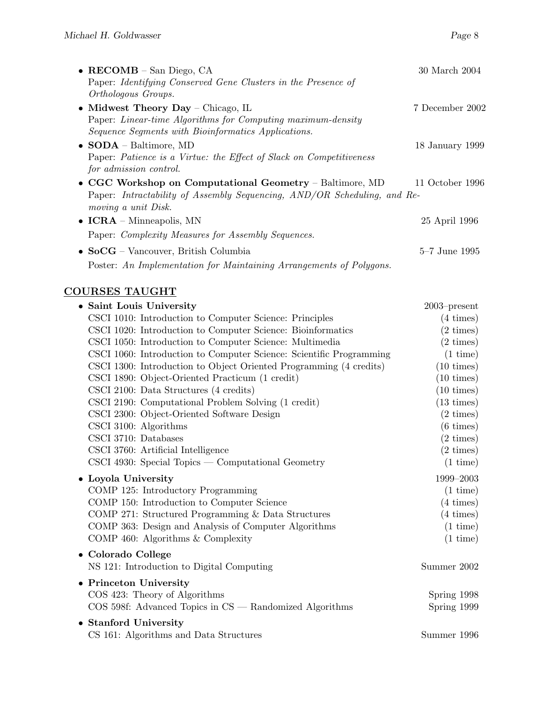| • RECOMB $-$ San Diego, CA<br>Paper: Identifying Conserved Gene Clusters in the Presence of<br>Orthologous Groups.                                          | 30 March 2004                         |
|-------------------------------------------------------------------------------------------------------------------------------------------------------------|---------------------------------------|
| • Midwest Theory Day – Chicago, IL<br>Paper: Linear-time Algorithms for Computing maximum-density<br>Sequence Segments with Bioinformatics Applications.    | 7 December 2002                       |
| $\bullet$ SODA – Baltimore, MD<br>Paper: Patience is a Virtue: the Effect of Slack on Competitiveness<br>for admission control.                             | 18 January 1999                       |
| • CGC Workshop on Computational Geometry - Baltimore, MD<br>Paper: Intractability of Assembly Sequencing, AND/OR Scheduling, and Re-<br>moving a unit Disk. | 11 October 1996                       |
| $\bullet$ <b>ICRA</b> – Minneapolis, MN                                                                                                                     | 25 April 1996                         |
| Paper: Complexity Measures for Assembly Sequences.                                                                                                          |                                       |
| • $SocG - Vancouver$ , British Columbia                                                                                                                     | $5\text{--}7$ June 1995               |
| Poster: An Implementation for Maintaining Arrangements of Polygons.                                                                                         |                                       |
| <b>COURSES TAUGHT</b>                                                                                                                                       |                                       |
| • Saint Louis University                                                                                                                                    | $2003$ -present                       |
| CSCI 1010: Introduction to Computer Science: Principles                                                                                                     | $(4 \times)$                          |
| CSCI 1020: Introduction to Computer Science: Bioinformatics                                                                                                 | $(2 \times)$                          |
| CSCI 1050: Introduction to Computer Science: Multimedia                                                                                                     | $(2 \times)$                          |
| CSCI 1060: Introduction to Computer Science: Scientific Programming                                                                                         | $(1 \text{ time})$                    |
| CSCI 1300: Introduction to Object Oriented Programming (4 credits)                                                                                          | $(10 \times)$                         |
| CSCI 1890: Object-Oriented Practicum (1 credit)<br>CSCI 2100: Data Structures (4 credits)                                                                   | $(10 \text{ times})$                  |
|                                                                                                                                                             | $(10 \text{ times})$<br>$(13 \times)$ |
| CSCI 2190: Computational Problem Solving (1 credit)<br>CSCI 2300: Object-Oriented Software Design                                                           | $(2 \times)$                          |
| CSCI 3100: Algorithms                                                                                                                                       | $(6 \times)$                          |
| CSCI 3710: Databases                                                                                                                                        | $(2 \times)$                          |
| CSCI 3760: Artificial Intelligence                                                                                                                          | $(2 \times)$                          |
| $\text{CSCI}$ 4930: Special Topics — Computational Geometry                                                                                                 | $(1 \text{ time})$                    |
| • Loyola University                                                                                                                                         | 1999-2003                             |
| COMP 125: Introductory Programming                                                                                                                          | $(1 \text{ time})$                    |
| COMP 150: Introduction to Computer Science                                                                                                                  | $(4 \times)$                          |
| COMP 271: Structured Programming & Data Structures                                                                                                          | $(4 \times)$                          |
| COMP 363: Design and Analysis of Computer Algorithms                                                                                                        | $(1 \text{ time})$                    |
| COMP 460: Algorithms & Complexity                                                                                                                           | $(1 \text{ time})$                    |
| • Colorado College<br>NS 121: Introduction to Digital Computing                                                                                             | Summer 2002                           |
|                                                                                                                                                             |                                       |
| • Princeton University<br>COS 423: Theory of Algorithms                                                                                                     | Spring 1998                           |
| $COS$ 598f: Advanced Topics in $CS$ — Randomized Algorithms                                                                                                 | Spring 1999                           |
|                                                                                                                                                             |                                       |
| • Stanford University<br>CS 161: Algorithms and Data Structures                                                                                             | Summer 1996                           |
|                                                                                                                                                             |                                       |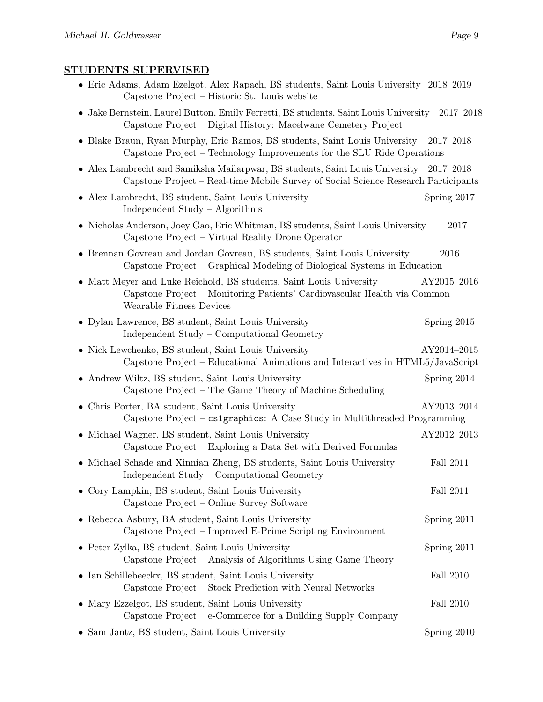### STUDENTS SUPERVISED

| • Eric Adams, Adam Ezelgot, Alex Rapach, BS students, Saint Louis University 2018–2019<br>Capstone Project – Historic St. Louis website                                     |               |
|-----------------------------------------------------------------------------------------------------------------------------------------------------------------------------|---------------|
| • Jake Bernstein, Laurel Button, Emily Ferretti, BS students, Saint Louis University<br>Capstone Project – Digital History: Macelwane Cemetery Project                      | $2017 - 2018$ |
| • Blake Braun, Ryan Murphy, Eric Ramos, BS students, Saint Louis University<br>Capstone Project – Technology Improvements for the SLU Ride Operations                       | $2017 - 2018$ |
| • Alex Lambrecht and Samiksha Mailarpwar, BS students, Saint Louis University<br>Capstone Project – Real-time Mobile Survey of Social Science Research Participants         | $2017 - 2018$ |
| • Alex Lambrecht, BS student, Saint Louis University<br>Independent Study - Algorithms                                                                                      | Spring 2017   |
| • Nicholas Anderson, Joey Gao, Eric Whitman, BS students, Saint Louis University<br>Capstone Project – Virtual Reality Drone Operator                                       | 2017          |
| • Brennan Govreau and Jordan Govreau, BS students, Saint Louis University<br>Capstone Project – Graphical Modeling of Biological Systems in Education                       | 2016          |
| • Matt Meyer and Luke Reichold, BS students, Saint Louis University<br>Capstone Project - Monitoring Patients' Cardiovascular Health via Common<br>Wearable Fitness Devices | AY2015-2016   |
| • Dylan Lawrence, BS student, Saint Louis University<br>Independent Study – Computational Geometry                                                                          | Spring 2015   |
| • Nick Lewchenko, BS student, Saint Louis University<br>Capstone Project – Educational Animations and Interactives in HTML5/JavaScript                                      | AY2014-2015   |
| • Andrew Wiltz, BS student, Saint Louis University<br>Capstone Project – The Game Theory of Machine Scheduling                                                              | Spring 2014   |
| • Chris Porter, BA student, Saint Louis University<br>Capstone Project – cs1graphics: A Case Study in Multithreaded Programming                                             | AY2013-2014   |
| • Michael Wagner, BS student, Saint Louis University<br>Capstone Project – Exploring a Data Set with Derived Formulas                                                       | AY2012-2013   |
| • Michael Schade and Xinnian Zheng, BS students, Saint Louis University<br>Independent Study – Computational Geometry                                                       | Fall 2011     |
| • Cory Lampkin, BS student, Saint Louis University<br>Capstone Project - Online Survey Software                                                                             | Fall 2011     |
| • Rebecca Asbury, BA student, Saint Louis University<br>Capstone Project – Improved E-Prime Scripting Environment                                                           | Spring 2011   |
| • Peter Zylka, BS student, Saint Louis University<br>Capstone Project - Analysis of Algorithms Using Game Theory                                                            | Spring 2011   |
| • Ian Schillebeeckx, BS student, Saint Louis University<br>Capstone Project – Stock Prediction with Neural Networks                                                         | Fall 2010     |
| • Mary Ezzelgot, BS student, Saint Louis University<br>Capstone Project – $e$ -Commerce for a Building Supply Company                                                       | Fall 2010     |
| • Sam Jantz, BS student, Saint Louis University                                                                                                                             | Spring 2010   |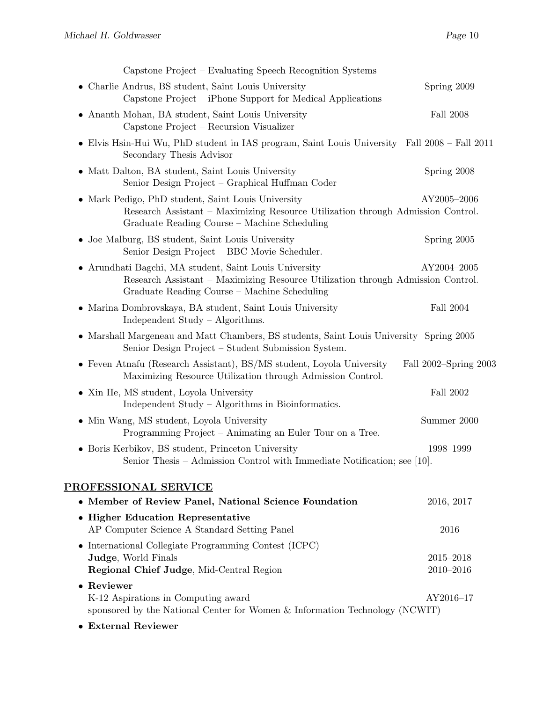| Capstone Project – Evaluating Speech Recognition Systems                                                                                                                                         |                                |
|--------------------------------------------------------------------------------------------------------------------------------------------------------------------------------------------------|--------------------------------|
| • Charlie Andrus, BS student, Saint Louis University<br>Capstone Project – iPhone Support for Medical Applications                                                                               | Spring 2009                    |
| Ananth Mohan, BA student, Saint Louis University<br>$\bullet$<br>Capstone Project – Recursion Visualizer                                                                                         | <b>Fall 2008</b>               |
| • Elvis Hsin-Hui Wu, PhD student in IAS program, Saint Louis University Fall 2008 – Fall 2011<br>Secondary Thesis Advisor                                                                        |                                |
| • Matt Dalton, BA student, Saint Louis University<br>Senior Design Project - Graphical Huffman Coder                                                                                             | Spring 2008                    |
| Mark Pedigo, PhD student, Saint Louis University<br>$\bullet$<br>Research Assistant – Maximizing Resource Utilization through Admission Control.<br>Graduate Reading Course – Machine Scheduling | AY2005-2006                    |
| • Joe Malburg, BS student, Saint Louis University<br>Senior Design Project – BBC Movie Scheduler.                                                                                                | Spring 2005                    |
| • Arundhati Bagchi, MA student, Saint Louis University<br>Research Assistant – Maximizing Resource Utilization through Admission Control.<br>Graduate Reading Course - Machine Scheduling        | AY2004-2005                    |
| • Marina Dombrovskaya, BA student, Saint Louis University<br>Independent Study $-$ Algorithms.                                                                                                   | Fall 2004                      |
| • Marshall Margeneau and Matt Chambers, BS students, Saint Louis University Spring 2005<br>Senior Design Project – Student Submission System.                                                    |                                |
| • Feven Atnafu (Research Assistant), BS/MS student, Loyola University<br>Maximizing Resource Utilization through Admission Control.                                                              | Fall 2002–Spring 2003          |
| • Xin He, MS student, Loyola University<br>Independent Study - Algorithms in Bioinformatics.                                                                                                     | Fall 2002                      |
| • Min Wang, MS student, Loyola University<br>Programming Project – Animating an Euler Tour on a Tree.                                                                                            | Summer 2000                    |
| • Boris Kerbikov, BS student, Princeton University<br>Senior Thesis - Admission Control with Immediate Notification; see [10].                                                                   | 1998-1999                      |
| PROFESSIONAL SERVICE                                                                                                                                                                             |                                |
| • Member of Review Panel, National Science Foundation                                                                                                                                            | 2016, 2017                     |
| • Higher Education Representative                                                                                                                                                                |                                |
| AP Computer Science A Standard Setting Panel                                                                                                                                                     | 2016                           |
| International Collegiate Programming Contest (ICPC)                                                                                                                                              |                                |
| Judge, World Finals<br>Regional Chief Judge, Mid-Central Region                                                                                                                                  | $2015 - 2018$<br>$2010 - 2016$ |
| • Reviewer                                                                                                                                                                                       |                                |
| K-12 Aspirations in Computing award<br>sponsored by the National Center for Women $\&$ Information Technology (NCWIT)                                                                            | AY2016-17                      |
| • External Reviewer                                                                                                                                                                              |                                |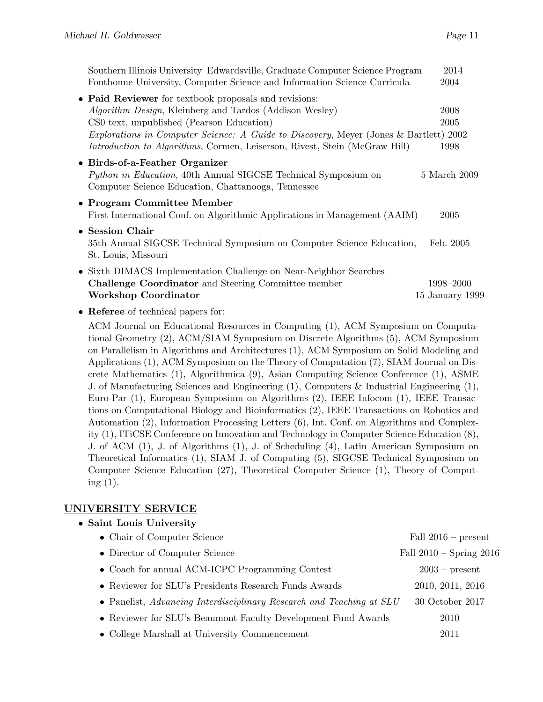| Southern Illinois University–Edwardsville, Graduate Computer Science Program                                                                                   | 2014                         |
|----------------------------------------------------------------------------------------------------------------------------------------------------------------|------------------------------|
| Fontbonne University, Computer Science and Information Science Curricula                                                                                       | 2004                         |
| • Paid Reviewer for textbook proposals and revisions:                                                                                                          |                              |
| <i>Algorithm Design</i> , Kleinberg and Tardos (Addison Wesley)                                                                                                | 2008                         |
| CS0 text, unpublished (Pearson Education)                                                                                                                      | 2005                         |
| Explorations in Computer Science: A Guide to Discovery, Meyer (Jones & Bartlett) 2002                                                                          |                              |
| Introduction to Algorithms, Cormen, Leiserson, Rivest, Stein (McGraw Hill)                                                                                     | 1998                         |
| • Birds-of-a-Feather Organizer<br><i>Python in Education</i> , 40th Annual SIGCSE Technical Symposium on<br>Computer Science Education, Chattanooga, Tennessee | 5 March 2009                 |
| • Program Committee Member<br>First International Conf. on Algorithmic Applications in Management (AAIM)                                                       | 2005                         |
| • Session Chair<br>35th Annual SIGCSE Technical Symposium on Computer Science Education,<br>St. Louis, Missouri                                                | Feb. 2005                    |
| • Sixth DIMACS Implementation Challenge on Near-Neighbor Searches<br><b>Challenge Coordinator</b> and Steering Committee member<br>Workshop Coordinator        | 1998–2000<br>15 January 1999 |
|                                                                                                                                                                |                              |

• Referee of technical papers for:

ACM Journal on Educational Resources in Computing (1), ACM Symposium on Computational Geometry (2), ACM/SIAM Symposium on Discrete Algorithms (5), ACM Symposium on Parallelism in Algorithms and Architectures (1), ACM Symposium on Solid Modeling and Applications (1), ACM Symposium on the Theory of Computation (7), SIAM Journal on Discrete Mathematics (1), Algorithmica (9), Asian Computing Science Conference (1), ASME J. of Manufacturing Sciences and Engineering (1), Computers & Industrial Engineering (1), Euro-Par (1), European Symposium on Algorithms (2), IEEE Infocom (1), IEEE Transactions on Computational Biology and Bioinformatics (2), IEEE Transactions on Robotics and Automation (2), Information Processing Letters (6), Int. Conf. on Algorithms and Complexity (1), ITiCSE Conference on Innovation and Technology in Computer Science Education (8), J. of ACM (1), J. of Algorithms (1), J. of Scheduling (4), Latin American Symposium on Theoretical Informatics (1), SIAM J. of Computing (5), SIGCSE Technical Symposium on Computer Science Education (27), Theoretical Computer Science (1), Theory of Computing (1).

#### UNIVERSITY SERVICE

| • Saint Louis University                                             |                             |
|----------------------------------------------------------------------|-----------------------------|
| • Chair of Computer Science                                          | Fall $2016$ – present       |
| • Director of Computer Science                                       | Fall $2010$ – Spring $2016$ |
| • Coach for annual ACM-ICPC Programming Contest                      | $2003$ – present            |
| • Reviewer for SLU's Presidents Research Funds Awards                | 2010, 2011, 2016            |
| • Panelist, Advancing Interdisciplinary Research and Teaching at SLU | 30 October 2017             |
| • Reviewer for SLU's Beaumont Faculty Development Fund Awards        | 2010                        |
| • College Marshall at University Commencement                        | 2011                        |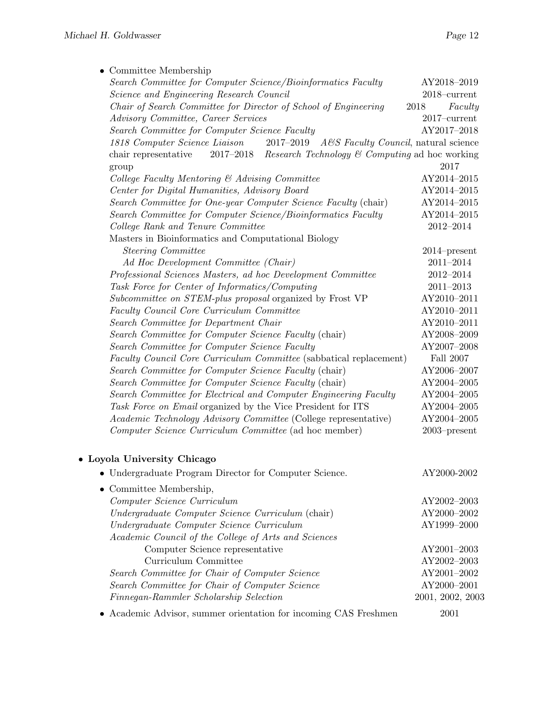| $\bullet$ Committee Membership                                                                    |                                  |
|---------------------------------------------------------------------------------------------------|----------------------------------|
| Search Committee for Computer Science/Bioinformatics Faculty                                      | AY2018-2019                      |
| Science and Engineering Research Council                                                          | $2018\mbox{--} \mathrm{current}$ |
| Chair of Search Committee for Director of School of Engineering                                   | 2018<br>Faculty                  |
| Advisory Committee, Career Services                                                               | $2017$ -current                  |
| Search Committee for Computer Science Faculty                                                     | AY2017-2018                      |
| 1818 Computer Science Liaison<br>$2017 - 2019$<br>$A \& S \; Faculty \; Council,$ natural science |                                  |
| $2017 - 2018$<br><i>Research Technology</i> $\&$ Computing ad hoc working<br>chair representative |                                  |
| group                                                                                             | 2017                             |
| College Faculty Mentoring & Advising Committee                                                    | AY2014-2015                      |
| Center for Digital Humanities, Advisory Board                                                     | AY2014-2015                      |
| Search Committee for One-year Computer Science Faculty (chair)                                    | AY2014-2015                      |
| Search Committee for Computer Science/Bioinformatics Faculty                                      | AY2014-2015                      |
| College Rank and Tenure Committee                                                                 | $2012 - 2014$                    |
| Masters in Bioinformatics and Computational Biology                                               |                                  |
| Steering Committee                                                                                | $2014$ -present                  |
| Ad Hoc Development Committee (Chair)                                                              | $2011 - 2014$                    |
| Professional Sciences Masters, ad hoc Development Committee                                       | $2012 - 2014$                    |
| Task Force for Center of Informatics/Computing                                                    | $2011 - 2013$                    |
| Subcommittee on STEM-plus proposal organized by Frost VP                                          | AY2010-2011                      |
| Faculty Council Core Curriculum Committee                                                         | AY2010-2011                      |
| Search Committee for Department Chair                                                             | AY2010-2011                      |
| Search Committee for Computer Science Faculty (chair)                                             | AY2008-2009                      |
| Search Committee for Computer Science Faculty                                                     | AY2007-2008                      |
| Faculty Council Core Curriculum Committee (sabbatical replacement)                                | Fall $2007\,$                    |
| Search Committee for Computer Science Faculty (chair)                                             | AY2006-2007                      |
| Search Committee for Computer Science Faculty (chair)                                             | AY2004-2005                      |
| Search Committee for Electrical and Computer Engineering Faculty                                  | AY2004-2005                      |
| Task Force on Email organized by the Vice President for ITS                                       | $\mathrm{AY2004}\text{--}2005$   |
| Academic Technology Advisory Committee (College representative)                                   | AY2004-2005                      |
| Computer Science Curriculum Committee (ad hoc member)                                             | $2003$ -present                  |
| • Loyola University Chicago                                                                       |                                  |
| • Undergraduate Program Director for Computer Science.                                            | AY2000-2002                      |
| $\bullet$ Committee Membership,                                                                   |                                  |
| Computer Science Curriculum                                                                       | AY2002-2003                      |

| Compater Science Carricatum                          | $A$ L $\angle$ COU $\angle$ $\angle$ COUD |
|------------------------------------------------------|-------------------------------------------|
| Undergraduate Computer Science Curriculum (chair)    | AY2000-2002                               |
| Undergraduate Computer Science Curriculum            | AY1999-2000                               |
| Academic Council of the College of Arts and Sciences |                                           |
| Computer Science representative                      | AY2001-2003                               |
| Curriculum Committee                                 | AY2002-2003                               |
| Search Committee for Chair of Computer Science       | AY2001-2002                               |
| Search Committee for Chair of Computer Science       | AY2000-2001                               |
| Finnegan-Rammler Scholarship Selection               | 2001, 2002, 2003                          |
|                                                      |                                           |

• Academic Advisor, summer orientation for incoming CAS Freshmen 2001